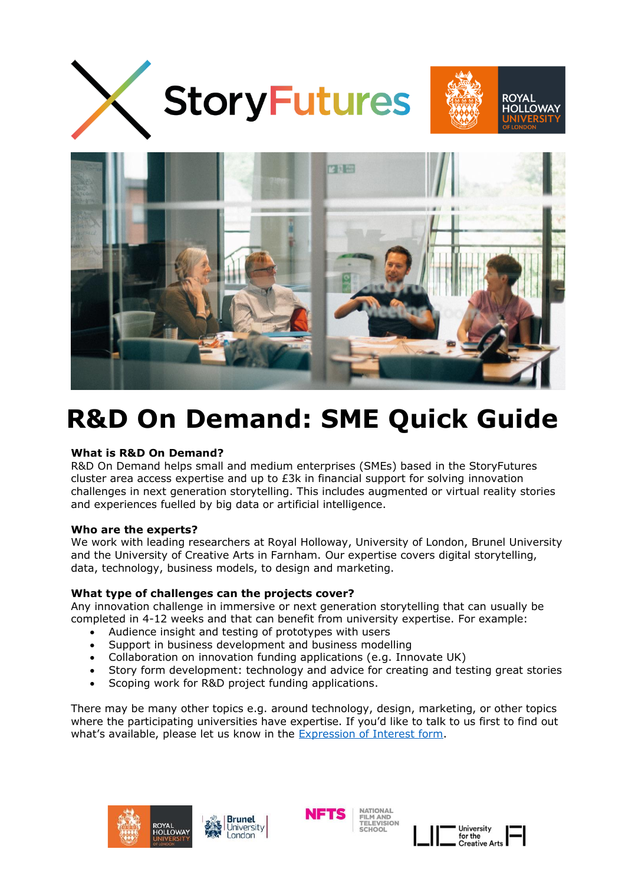



# **R&D On Demand: SME Quick Guide**

### **What is R&D On Demand?**

R&D On Demand helps small and medium enterprises (SMEs) based in the StoryFutures cluster area access expertise and up to  $E3k$  in financial support for solving innovation challenges in next generation storytelling. This includes augmented or virtual reality stories and experiences fuelled by big data or artificial intelligence.

### **Who are the experts?**

We work with leading researchers at Royal Holloway, University of London, Brunel University and the University of Creative Arts in Farnham. Our expertise covers digital storytelling, data, technology, business models, to design and marketing.

### **What type of challenges can the projects cover?**

Any innovation challenge in immersive or next generation storytelling that can usually be completed in 4-12 weeks and that can benefit from university expertise. For example:

- Audience insight and testing of prototypes with users
- Support in business development and business modelling
- Collaboration on innovation funding applications (e.g. Innovate UK)
- Story form development: technology and advice for creating and testing great stories
- Scoping work for R&D project funding applications.

There may be many other topics e.g. around technology, design, marketing, or other topics where the participating universities have expertise. If you'd like to talk to us first to find out what's available, please let us know in the [Expression of Interest form.](https://www.storyfutures.com/apply/rd-on-demand-eoi)